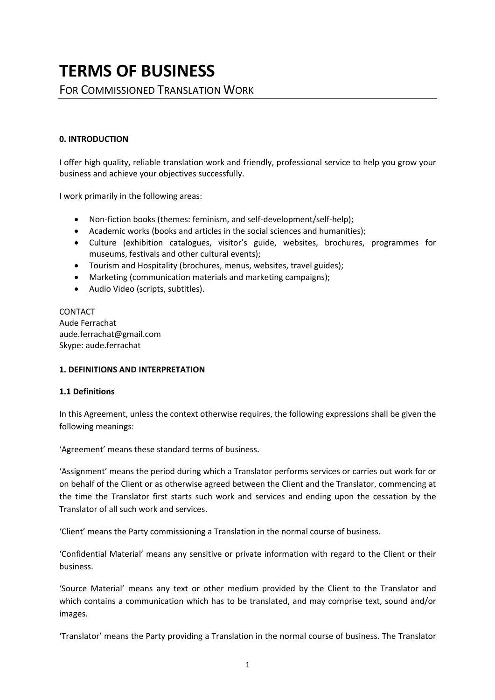# **TERMS OF BUSINESS**

FOR COMMISSIONED TRANSLATION WORK

## **0. INTRODUCTION**

I offer high quality, reliable translation work and friendly, professional service to help you grow your business and achieve your objectives successfully.

I work primarily in the following areas:

- Non-fiction books (themes: feminism, and self-development/self-help);
- Academic works (books and articles in the social sciences and humanities);
- Culture (exhibition catalogues, visitor's guide, websites, brochures, programmes for museums, festivals and other cultural events);
- Tourism and Hospitality (brochures, menus, websites, travel guides);
- Marketing (communication materials and marketing campaigns);
- Audio Video (scripts, subtitles).

CONTACT Aude Ferrachat aude.ferrachat@gmail.com Skype: aude.ferrachat

## **1. DEFINITIONS AND INTERPRETATION**

## **1.1 Definitions**

In this Agreement, unless the context otherwise requires, the following expressions shall be given the following meanings:

'Agreement' means these standard terms of business.

'Assignment' means the period during which a Translator performs services or carries out work for or on behalf of the Client or as otherwise agreed between the Client and the Translator, commencing at the time the Translator first starts such work and services and ending upon the cessation by the Translator of all such work and services.

'Client' means the Party commissioning a Translation in the normal course of business.

'Confidential Material' means any sensitive or private information with regard to the Client or their business.

'Source Material' means any text or other medium provided by the Client to the Translator and which contains a communication which has to be translated, and may comprise text, sound and/or images.

'Translator' means the Party providing a Translation in the normal course of business. The Translator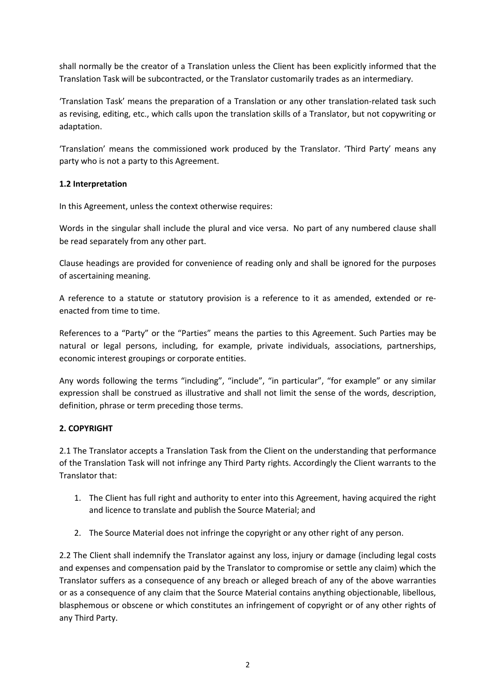shall normally be the creator of a Translation unless the Client has been explicitly informed that the Translation Task will be subcontracted, or the Translator customarily trades as an intermediary.

'Translation Task' means the preparation of a Translation or any other translation-related task such as revising, editing, etc., which calls upon the translation skills of a Translator, but not copywriting or adaptation.

'Translation' means the commissioned work produced by the Translator. 'Third Party' means any party who is not a party to this Agreement.

# **1.2 Interpretation**

In this Agreement, unless the context otherwise requires:

Words in the singular shall include the plural and vice versa. No part of any numbered clause shall be read separately from any other part.

Clause headings are provided for convenience of reading only and shall be ignored for the purposes of ascertaining meaning.

A reference to a statute or statutory provision is a reference to it as amended, extended or reenacted from time to time.

References to a "Party" or the "Parties" means the parties to this Agreement. Such Parties may be natural or legal persons, including, for example, private individuals, associations, partnerships, economic interest groupings or corporate entities.

Any words following the terms "including", "include", "in particular", "for example" or any similar expression shall be construed as illustrative and shall not limit the sense of the words, description, definition, phrase or term preceding those terms.

# **2. COPYRIGHT**

2.1 The Translator accepts a Translation Task from the Client on the understanding that performance of the Translation Task will not infringe any Third Party rights. Accordingly the Client warrants to the Translator that:

- 1. The Client has full right and authority to enter into this Agreement, having acquired the right and licence to translate and publish the Source Material; and
- 2. The Source Material does not infringe the copyright or any other right of any person.

2.2 The Client shall indemnify the Translator against any loss, injury or damage (including legal costs and expenses and compensation paid by the Translator to compromise or settle any claim) which the Translator suffers as a consequence of any breach or alleged breach of any of the above warranties or as a consequence of any claim that the Source Material contains anything objectionable, libellous, blasphemous or obscene or which constitutes an infringement of copyright or of any other rights of any Third Party.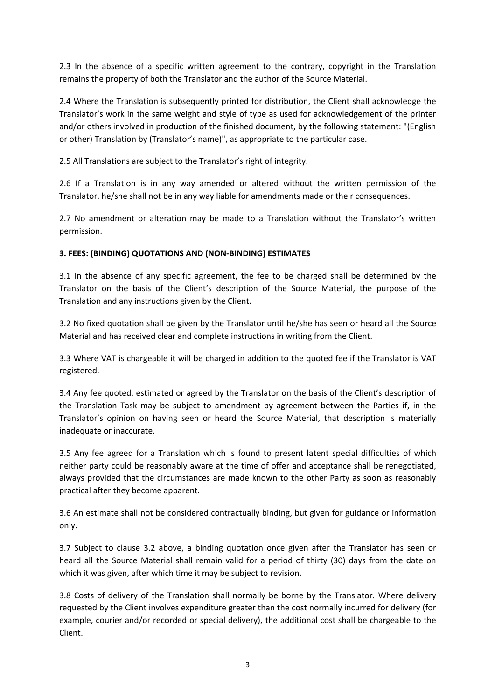2.3 In the absence of a specific written agreement to the contrary, copyright in the Translation remains the property of both the Translator and the author of the Source Material.

2.4 Where the Translation is subsequently printed for distribution, the Client shall acknowledge the Translator's work in the same weight and style of type as used for acknowledgement of the printer and/or others involved in production of the finished document, by the following statement: "(English or other) Translation by (Translator's name)", as appropriate to the particular case.

2.5 All Translations are subject to the Translator's right of integrity.

2.6 If a Translation is in any way amended or altered without the written permission of the Translator, he/she shall not be in any way liable for amendments made or their consequences.

2.7 No amendment or alteration may be made to a Translation without the Translator's written permission.

# **3. FEES: (BINDING) QUOTATIONS AND (NON-BINDING) ESTIMATES**

3.1 In the absence of any specific agreement, the fee to be charged shall be determined by the Translator on the basis of the Client's description of the Source Material, the purpose of the Translation and any instructions given by the Client.

3.2 No fixed quotation shall be given by the Translator until he/she has seen or heard all the Source Material and has received clear and complete instructions in writing from the Client.

3.3 Where VAT is chargeable it will be charged in addition to the quoted fee if the Translator is VAT registered.

3.4 Any fee quoted, estimated or agreed by the Translator on the basis of the Client's description of the Translation Task may be subject to amendment by agreement between the Parties if, in the Translator's opinion on having seen or heard the Source Material, that description is materially inadequate or inaccurate.

3.5 Any fee agreed for a Translation which is found to present latent special difficulties of which neither party could be reasonably aware at the time of offer and acceptance shall be renegotiated, always provided that the circumstances are made known to the other Party as soon as reasonably practical after they become apparent.

3.6 An estimate shall not be considered contractually binding, but given for guidance or information only.

3.7 Subject to clause 3.2 above, a binding quotation once given after the Translator has seen or heard all the Source Material shall remain valid for a period of thirty (30) days from the date on which it was given, after which time it may be subject to revision.

3.8 Costs of delivery of the Translation shall normally be borne by the Translator. Where delivery requested by the Client involves expenditure greater than the cost normally incurred for delivery (for example, courier and/or recorded or special delivery), the additional cost shall be chargeable to the Client.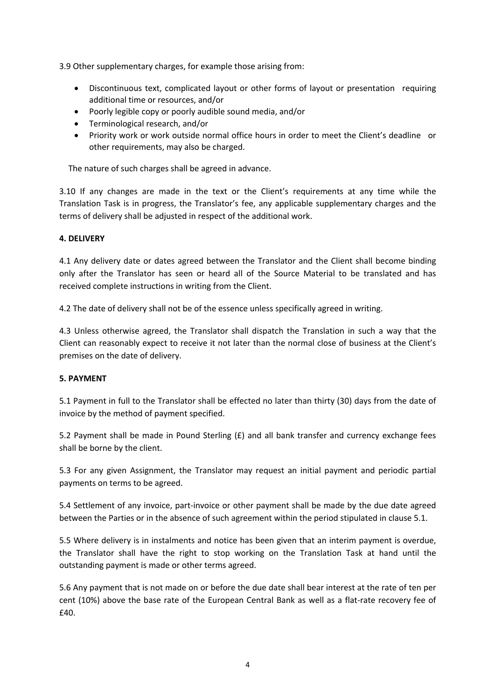3.9 Other supplementary charges, for example those arising from:

- Discontinuous text, complicated layout or other forms of layout or presentation requiring additional time or resources, and/or
- Poorly legible copy or poorly audible sound media, and/or
- Terminological research, and/or
- Priority work or work outside normal office hours in order to meet the Client's deadline or other requirements, may also be charged.

The nature of such charges shall be agreed in advance.

3.10 If any changes are made in the text or the Client's requirements at any time while the Translation Task is in progress, the Translator's fee, any applicable supplementary charges and the terms of delivery shall be adjusted in respect of the additional work.

## **4. DELIVERY**

4.1 Any delivery date or dates agreed between the Translator and the Client shall become binding only after the Translator has seen or heard all of the Source Material to be translated and has received complete instructions in writing from the Client.

4.2 The date of delivery shall not be of the essence unless specifically agreed in writing.

4.3 Unless otherwise agreed, the Translator shall dispatch the Translation in such a way that the Client can reasonably expect to receive it not later than the normal close of business at the Client's premises on the date of delivery.

# **5. PAYMENT**

5.1 Payment in full to the Translator shall be effected no later than thirty (30) days from the date of invoice by the method of payment specified.

5.2 Payment shall be made in Pound Sterling (£) and all bank transfer and currency exchange fees shall be borne by the client.

5.3 For any given Assignment, the Translator may request an initial payment and periodic partial payments on terms to be agreed.

5.4 Settlement of any invoice, part-invoice or other payment shall be made by the due date agreed between the Parties or in the absence of such agreement within the period stipulated in clause 5.1.

5.5 Where delivery is in instalments and notice has been given that an interim payment is overdue, the Translator shall have the right to stop working on the Translation Task at hand until the outstanding payment is made or other terms agreed.

5.6 Any payment that is not made on or before the due date shall bear interest at the rate of ten per cent (10%) above the base rate of the European Central Bank as well as a flat-rate recovery fee of £40.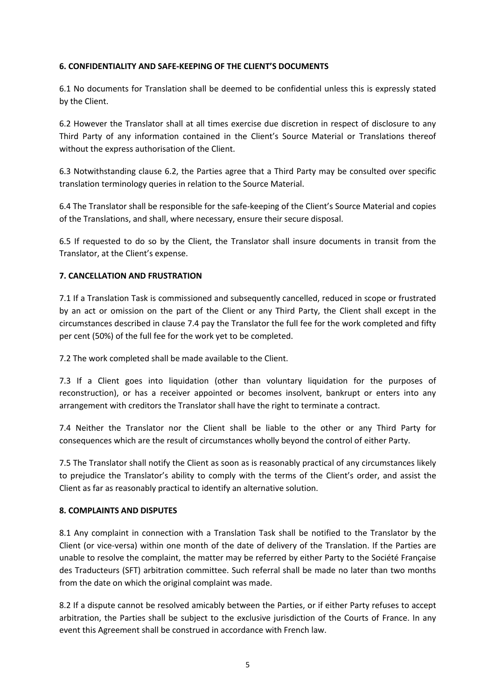# **6. CONFIDENTIALITY AND SAFE-KEEPING OF THE CLIENT'S DOCUMENTS**

6.1 No documents for Translation shall be deemed to be confidential unless this is expressly stated by the Client.

6.2 However the Translator shall at all times exercise due discretion in respect of disclosure to any Third Party of any information contained in the Client's Source Material or Translations thereof without the express authorisation of the Client.

6.3 Notwithstanding clause 6.2, the Parties agree that a Third Party may be consulted over specific translation terminology queries in relation to the Source Material.

6.4 The Translator shall be responsible for the safe-keeping of the Client's Source Material and copies of the Translations, and shall, where necessary, ensure their secure disposal.

6.5 If requested to do so by the Client, the Translator shall insure documents in transit from the Translator, at the Client's expense.

# **7. CANCELLATION AND FRUSTRATION**

7.1 If a Translation Task is commissioned and subsequently cancelled, reduced in scope or frustrated by an act or omission on the part of the Client or any Third Party, the Client shall except in the circumstances described in clause 7.4 pay the Translator the full fee for the work completed and fifty per cent (50%) of the full fee for the work yet to be completed.

7.2 The work completed shall be made available to the Client.

7.3 If a Client goes into liquidation (other than voluntary liquidation for the purposes of reconstruction), or has a receiver appointed or becomes insolvent, bankrupt or enters into any arrangement with creditors the Translator shall have the right to terminate a contract.

7.4 Neither the Translator nor the Client shall be liable to the other or any Third Party for consequences which are the result of circumstances wholly beyond the control of either Party.

7.5 The Translator shall notify the Client as soon as is reasonably practical of any circumstances likely to prejudice the Translator's ability to comply with the terms of the Client's order, and assist the Client as far as reasonably practical to identify an alternative solution.

## **8. COMPLAINTS AND DISPUTES**

8.1 Any complaint in connection with a Translation Task shall be notified to the Translator by the Client (or vice-versa) within one month of the date of delivery of the Translation. If the Parties are unable to resolve the complaint, the matter may be referred by either Party to the Société Française des Traducteurs (SFT) arbitration committee. Such referral shall be made no later than two months from the date on which the original complaint was made.

8.2 If a dispute cannot be resolved amicably between the Parties, or if either Party refuses to accept arbitration, the Parties shall be subject to the exclusive jurisdiction of the Courts of France. In any event this Agreement shall be construed in accordance with French law.